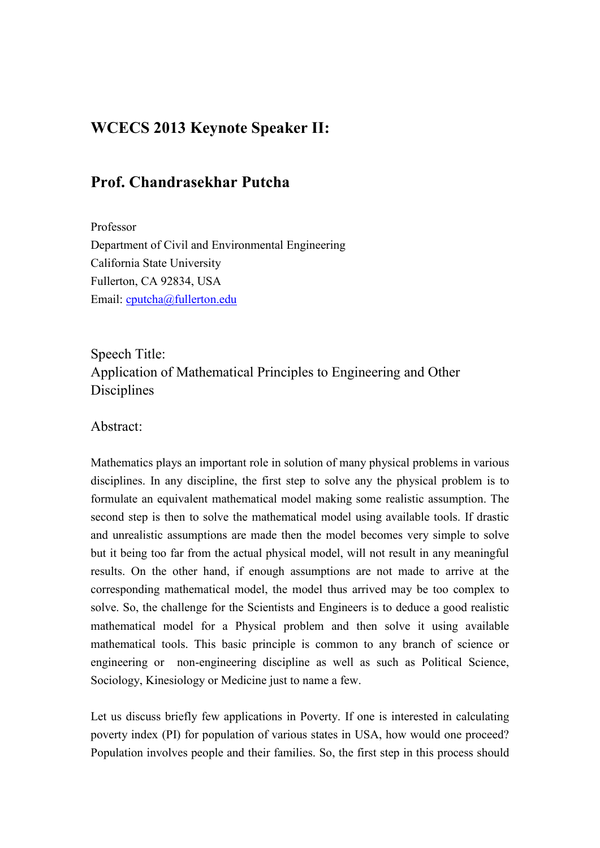## **WCECS 2013 Keynote Speaker II:**

## **Prof. Chandrasekhar Putcha**

Professor Department of Civil and Environmental Engineering California State University Fullerton, CA 92834, USA Email: cputcha@fullerton.edu

Speech Title: Application of Mathematical Principles to Engineering and Other Disciplines

Abstract:

Mathematics plays an important role in solution of many physical problems in various disciplines. In any discipline, the first step to solve any the physical problem is to formulate an equivalent mathematical model making some realistic assumption. The second step is then to solve the mathematical model using available tools. If drastic and unrealistic assumptions are made then the model becomes very simple to solve but it being too far from the actual physical model, will not result in any meaningful results. On the other hand, if enough assumptions are not made to arrive at the corresponding mathematical model, the model thus arrived may be too complex to solve. So, the challenge for the Scientists and Engineers is to deduce a good realistic mathematical model for a Physical problem and then solve it using available mathematical tools. This basic principle is common to any branch of science or engineering or non-engineering discipline as well as such as Political Science, Sociology, Kinesiology or Medicine just to name a few.

Let us discuss briefly few applications in Poverty. If one is interested in calculating poverty index (PI) for population of various states in USA, how would one proceed? Population involves people and their families. So, the first step in this process should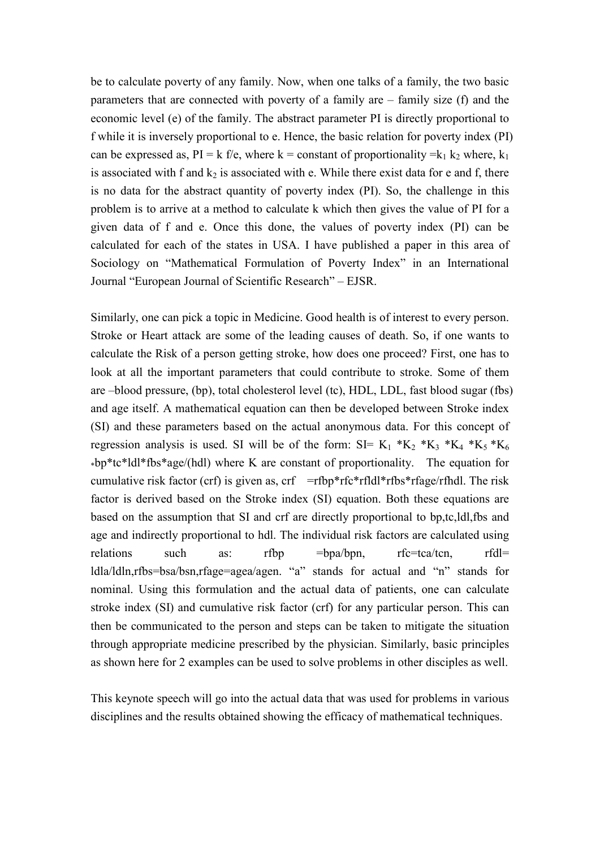be to calculate poverty of any family. Now, when one talks of a family, the two basic parameters that are connected with poverty of a family are – family size (f) and the economic level (e) of the family. The abstract parameter PI is directly proportional to f while it is inversely proportional to e. Hence, the basic relation for poverty index (PI) can be expressed as,  $PI = k$  f/e, where k = constant of proportionality =k<sub>1</sub> k<sub>2</sub> where, k<sub>1</sub> is associated with f and  $k_2$  is associated with e. While there exist data for e and f, there is no data for the abstract quantity of poverty index (PI). So, the challenge in this problem is to arrive at a method to calculate k which then gives the value of PI for a given data of f and e. Once this done, the values of poverty index (PI) can be calculated for each of the states in USA. I have published a paper in this area of Sociology on "Mathematical Formulation of Poverty Index" in an International Journal "European Journal of Scientific Research" – EJSR.

Similarly, one can pick a topic in Medicine. Good health is of interest to every person. Stroke or Heart attack are some of the leading causes of death. So, if one wants to calculate the Risk of a person getting stroke, how does one proceed? First, one has to look at all the important parameters that could contribute to stroke. Some of them are –blood pressure, (bp), total cholesterol level (tc), HDL, LDL, fast blood sugar (fbs) and age itself. A mathematical equation can then be developed between Stroke index (SI) and these parameters based on the actual anonymous data. For this concept of regression analysis is used. SI will be of the form:  $SI = K_1 * K_2 * K_3 * K_4 * K_5 * K_6$ \*bp\*tc\*ldl\*fbs\*age/(hdl) where K are constant of proportionality. The equation for cumulative risk factor (crf) is given as,  $\text{crf} = \text{rfbp*rfc*rfldl*rfbs*rfage/rfhdl$ . The risk factor is derived based on the Stroke index (SI) equation. Both these equations are based on the assumption that SI and crf are directly proportional to bp,tc,ldl,fbs and age and indirectly proportional to hdl. The individual risk factors are calculated using relations such as: rfbp =bpa/bpn, rfc=tca/tcn, rfdl= ldla/ldln,rfbs=bsa/bsn,rfage=agea/agen. "a" stands for actual and "n" stands for nominal. Using this formulation and the actual data of patients, one can calculate stroke index (SI) and cumulative risk factor (crf) for any particular person. This can then be communicated to the person and steps can be taken to mitigate the situation through appropriate medicine prescribed by the physician. Similarly, basic principles as shown here for 2 examples can be used to solve problems in other disciples as well.

This keynote speech will go into the actual data that was used for problems in various disciplines and the results obtained showing the efficacy of mathematical techniques.